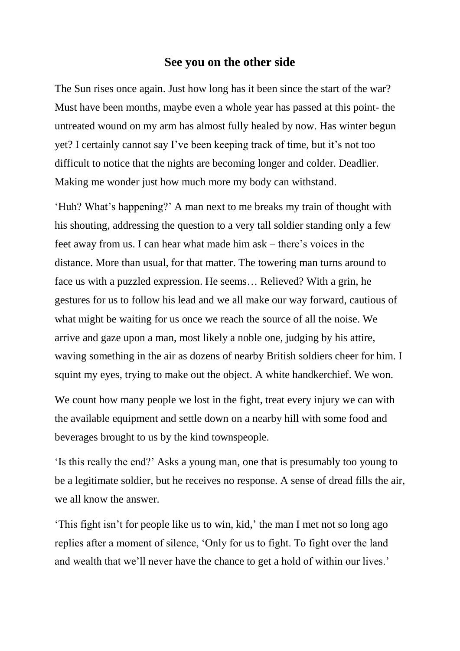## **See you on the other side**

The Sun rises once again. Just how long has it been since the start of the war? Must have been months, maybe even a whole year has passed at this point- the untreated wound on my arm has almost fully healed by now. Has winter begun yet? I certainly cannot say I've been keeping track of time, but it's not too difficult to notice that the nights are becoming longer and colder. Deadlier. Making me wonder just how much more my body can withstand.

'Huh? What's happening?' A man next to me breaks my train of thought with his shouting, addressing the question to a very tall soldier standing only a few feet away from us. I can hear what made him ask – there's voices in the distance. More than usual, for that matter. The towering man turns around to face us with a puzzled expression. He seems… Relieved? With a grin, he gestures for us to follow his lead and we all make our way forward, cautious of what might be waiting for us once we reach the source of all the noise. We arrive and gaze upon a man, most likely a noble one, judging by his attire, waving something in the air as dozens of nearby British soldiers cheer for him. I squint my eyes, trying to make out the object. A white handkerchief. We won.

We count how many people we lost in the fight, treat every injury we can with the available equipment and settle down on a nearby hill with some food and beverages brought to us by the kind townspeople.

'Is this really the end?' Asks a young man, one that is presumably too young to be a legitimate soldier, but he receives no response. A sense of dread fills the air, we all know the answer.

'This fight isn't for people like us to win, kid,' the man I met not so long ago replies after a moment of silence, 'Only for us to fight. To fight over the land and wealth that we'll never have the chance to get a hold of within our lives.'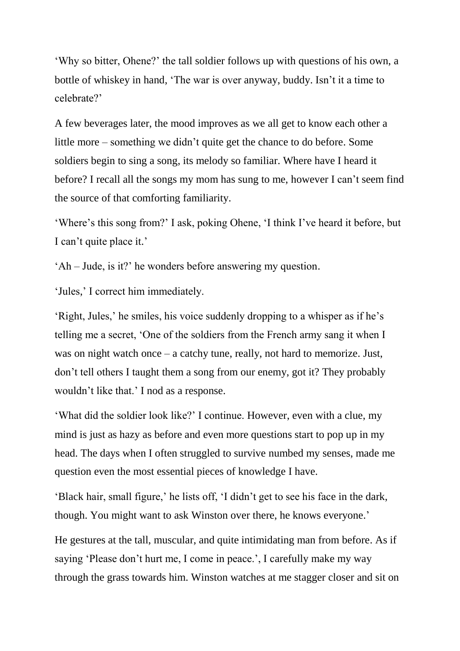'Why so bitter, Ohene?' the tall soldier follows up with questions of his own, a bottle of whiskey in hand, 'The war is over anyway, buddy. Isn't it a time to celebrate?'

A few beverages later, the mood improves as we all get to know each other a little more – something we didn't quite get the chance to do before. Some soldiers begin to sing a song, its melody so familiar. Where have I heard it before? I recall all the songs my mom has sung to me, however I can't seem find the source of that comforting familiarity.

'Where's this song from?' I ask, poking Ohene, 'I think I've heard it before, but I can't quite place it.'

'Ah – Jude, is it?' he wonders before answering my question.

'Jules,' I correct him immediately.

'Right, Jules,' he smiles, his voice suddenly dropping to a whisper as if he's telling me a secret, 'One of the soldiers from the French army sang it when I was on night watch once – a catchy tune, really, not hard to memorize. Just, don't tell others I taught them a song from our enemy, got it? They probably wouldn't like that.' I nod as a response.

'What did the soldier look like?' I continue. However, even with a clue, my mind is just as hazy as before and even more questions start to pop up in my head. The days when I often struggled to survive numbed my senses, made me question even the most essential pieces of knowledge I have.

'Black hair, small figure,' he lists off, 'I didn't get to see his face in the dark, though. You might want to ask Winston over there, he knows everyone.'

He gestures at the tall, muscular, and quite intimidating man from before. As if saying 'Please don't hurt me, I come in peace.', I carefully make my way through the grass towards him. Winston watches at me stagger closer and sit on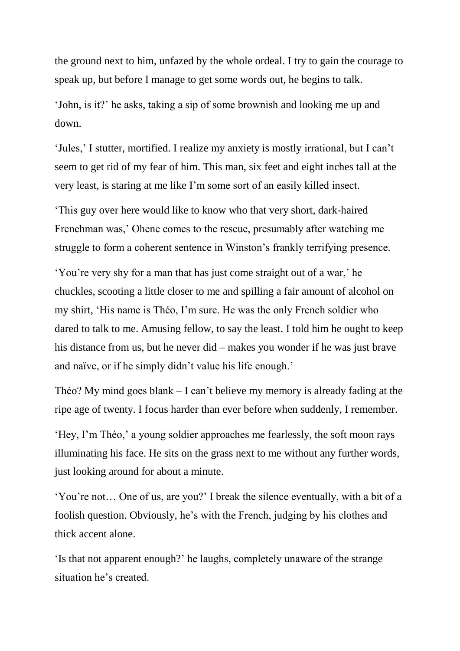the ground next to him, unfazed by the whole ordeal. I try to gain the courage to speak up, but before I manage to get some words out, he begins to talk.

'John, is it?' he asks, taking a sip of some brownish and looking me up and down.

'Jules,' I stutter, mortified. I realize my anxiety is mostly irrational, but I can't seem to get rid of my fear of him. This man, six feet and eight inches tall at the very least, is staring at me like I'm some sort of an easily killed insect.

'This guy over here would like to know who that very short, dark-haired Frenchman was,' Ohene comes to the rescue, presumably after watching me struggle to form a coherent sentence in Winston's frankly terrifying presence.

'You're very shy for a man that has just come straight out of a war,' he chuckles, scooting a little closer to me and spilling a fair amount of alcohol on my shirt, 'His name is Théo, I'm sure. He was the only French soldier who dared to talk to me. Amusing fellow, to say the least. I told him he ought to keep his distance from us, but he never did – makes you wonder if he was just brave and naïve, or if he simply didn't value his life enough.'

Théo? My mind goes blank – I can't believe my memory is already fading at the ripe age of twenty. I focus harder than ever before when suddenly, I remember.

'Hey, I'm Théo,' a young soldier approaches me fearlessly, the soft moon rays illuminating his face. He sits on the grass next to me without any further words, just looking around for about a minute.

'You're not… One of us, are you?' I break the silence eventually, with a bit of a foolish question. Obviously, he's with the French, judging by his clothes and thick accent alone.

'Is that not apparent enough?' he laughs, completely unaware of the strange situation he's created.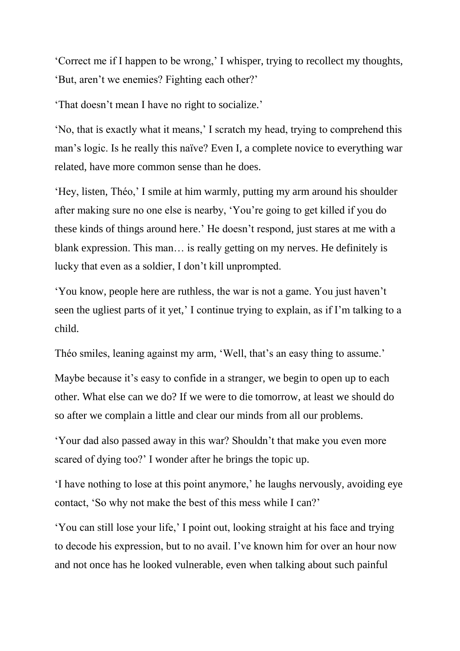'Correct me if I happen to be wrong,' I whisper, trying to recollect my thoughts, 'But, aren't we enemies? Fighting each other?'

'That doesn't mean I have no right to socialize.'

'No, that is exactly what it means,' I scratch my head, trying to comprehend this man's logic. Is he really this naïve? Even I, a complete novice to everything war related, have more common sense than he does.

'Hey, listen, Théo,' I smile at him warmly, putting my arm around his shoulder after making sure no one else is nearby, 'You're going to get killed if you do these kinds of things around here.' He doesn't respond, just stares at me with a blank expression. This man… is really getting on my nerves. He definitely is lucky that even as a soldier, I don't kill unprompted.

'You know, people here are ruthless, the war is not a game. You just haven't seen the ugliest parts of it yet,' I continue trying to explain, as if I'm talking to a child.

Théo smiles, leaning against my arm, 'Well, that's an easy thing to assume.'

Maybe because it's easy to confide in a stranger, we begin to open up to each other. What else can we do? If we were to die tomorrow, at least we should do so after we complain a little and clear our minds from all our problems.

'Your dad also passed away in this war? Shouldn't that make you even more scared of dying too?' I wonder after he brings the topic up.

'I have nothing to lose at this point anymore,' he laughs nervously, avoiding eye contact, 'So why not make the best of this mess while I can?'

'You can still lose your life,' I point out, looking straight at his face and trying to decode his expression, but to no avail. I've known him for over an hour now and not once has he looked vulnerable, even when talking about such painful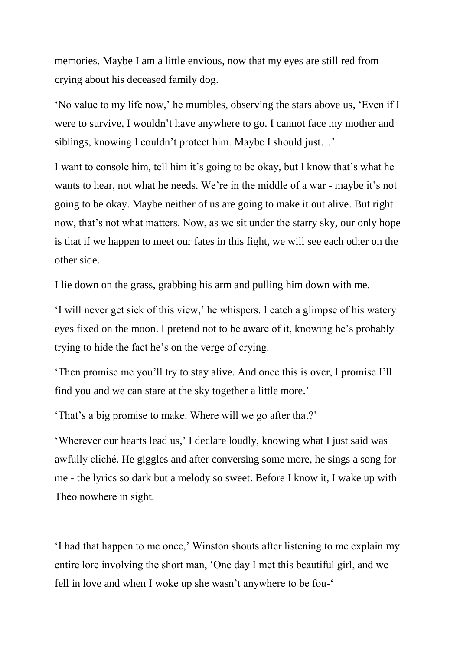memories. Maybe I am a little envious, now that my eyes are still red from crying about his deceased family dog.

'No value to my life now,' he mumbles, observing the stars above us, 'Even if I were to survive, I wouldn't have anywhere to go. I cannot face my mother and siblings, knowing I couldn't protect him. Maybe I should just…'

I want to console him, tell him it's going to be okay, but I know that's what he wants to hear, not what he needs. We're in the middle of a war - maybe it's not going to be okay. Maybe neither of us are going to make it out alive. But right now, that's not what matters. Now, as we sit under the starry sky, our only hope is that if we happen to meet our fates in this fight, we will see each other on the other side.

I lie down on the grass, grabbing his arm and pulling him down with me.

'I will never get sick of this view,' he whispers. I catch a glimpse of his watery eyes fixed on the moon. I pretend not to be aware of it, knowing he's probably trying to hide the fact he's on the verge of crying.

'Then promise me you'll try to stay alive. And once this is over, I promise I'll find you and we can stare at the sky together a little more.'

'That's a big promise to make. Where will we go after that?'

'Wherever our hearts lead us,' I declare loudly, knowing what I just said was awfully cliché. He giggles and after conversing some more, he sings a song for me - the lyrics so dark but a melody so sweet. Before I know it, I wake up with Théo nowhere in sight.

'I had that happen to me once,' Winston shouts after listening to me explain my entire lore involving the short man, 'One day I met this beautiful girl, and we fell in love and when I woke up she wasn't anywhere to be fou-'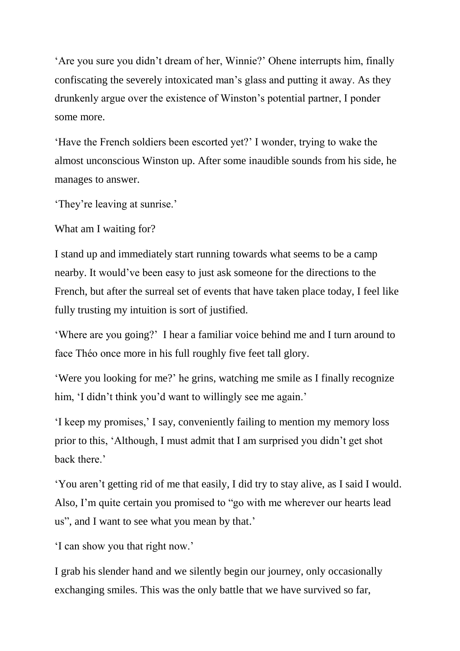'Are you sure you didn't dream of her, Winnie?' Ohene interrupts him, finally confiscating the severely intoxicated man's glass and putting it away. As they drunkenly argue over the existence of Winston's potential partner, I ponder some more.

'Have the French soldiers been escorted yet?' I wonder, trying to wake the almost unconscious Winston up. After some inaudible sounds from his side, he manages to answer.

'They're leaving at sunrise.'

What am I waiting for?

I stand up and immediately start running towards what seems to be a camp nearby. It would've been easy to just ask someone for the directions to the French, but after the surreal set of events that have taken place today, I feel like fully trusting my intuition is sort of justified.

'Where are you going?' I hear a familiar voice behind me and I turn around to face Théo once more in his full roughly five feet tall glory.

'Were you looking for me?' he grins, watching me smile as I finally recognize him, 'I didn't think you'd want to willingly see me again.'

'I keep my promises,' I say, conveniently failing to mention my memory loss prior to this, 'Although, I must admit that I am surprised you didn't get shot back there.'

'You aren't getting rid of me that easily, I did try to stay alive, as I said I would. Also, I'm quite certain you promised to "go with me wherever our hearts lead us", and I want to see what you mean by that.'

'I can show you that right now.'

I grab his slender hand and we silently begin our journey, only occasionally exchanging smiles. This was the only battle that we have survived so far,